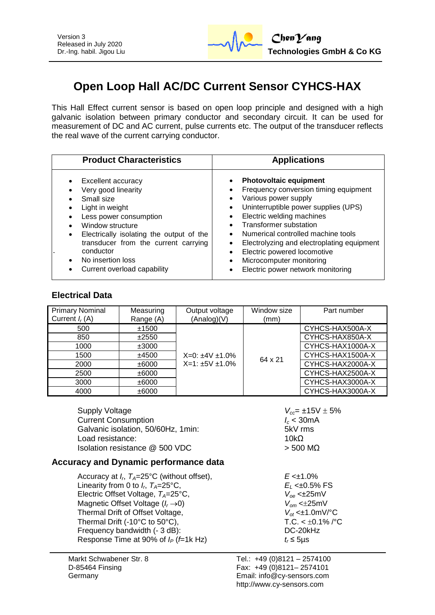

# **Open Loop Hall AC/DC Current Sensor CYHCS-HAX**

This Hall Effect current sensor is based on open loop principle and designed with a high galvanic isolation between primary conductor and secondary circuit. It can be used for measurement of DC and AC current, pulse currents etc. The output of the transducer reflects the real wave of the current carrying conductor.

| <b>Product Characteristics</b>                                                                                                                                                                                                                                                             | <b>Applications</b>                                                                                                                                                                                                                                                                                                                                                                                                                                                                                                |  |  |
|--------------------------------------------------------------------------------------------------------------------------------------------------------------------------------------------------------------------------------------------------------------------------------------------|--------------------------------------------------------------------------------------------------------------------------------------------------------------------------------------------------------------------------------------------------------------------------------------------------------------------------------------------------------------------------------------------------------------------------------------------------------------------------------------------------------------------|--|--|
| Excellent accuracy<br>Very good linearity<br>Small size<br>Light in weight<br>Less power consumption<br>Window structure<br>Electrically isolating the output of the<br>$\bullet$<br>transducer from the current carrying<br>conductor<br>No insertion loss<br>Current overload capability | <b>Photovoltaic equipment</b><br>$\bullet$<br>Frequency conversion timing equipment<br>Various power supply<br>$\bullet$<br>Uninterruptible power supplies (UPS)<br>$\bullet$<br>Electric welding machines<br>$\bullet$<br><b>Transformer substation</b><br>$\bullet$<br>Numerical controlled machine tools<br>$\bullet$<br>Electrolyzing and electroplating equipment<br>$\bullet$<br>Electric powered locomotive<br>$\bullet$<br>Microcomputer monitoring<br>$\bullet$<br>Electric power network monitoring<br>٠ |  |  |

## **Electrical Data**

| <b>Primary Nominal</b><br>Current $I_r(A)$ | Measuring<br>Range (A) | Output voltage<br>(Analog)(V) | Window size<br>(mm) | Part number      |
|--------------------------------------------|------------------------|-------------------------------|---------------------|------------------|
| 500                                        | ±1500                  | $X=0: \pm 4V \pm 1.0\%$       |                     | CYHCS-HAX500A-X  |
| 850                                        | ±2550                  |                               |                     | CYHCS-HAX850A-X  |
| 1000                                       | ±3000                  |                               | 64 x 21             | CYHCS-HAX1000A-X |
| 1500                                       | ±4500                  |                               |                     | CYHCS-HAX1500A-X |
| 2000                                       | ±6000                  | $X=1: \pm 5V \pm 1.0\%$       |                     | CYHCS-HAX2000A-X |
| 2500                                       | ±6000                  |                               |                     | CYHCS-HAX2500A-X |
| 3000                                       | ±6000                  |                               |                     | CYHCS-HAX3000A-X |
| 4000                                       | ±6000                  |                               |                     | CYHCS-HAX3000A-X |

Supply Voltage *V<sub>cc</sub>* = ±15V ± 5%<br>Current Consumption **1.1200**  $\frac{V_{c} = \pm 15V \pm 5\%}{V_{c} = \pm 15V \pm 5\%}$ Current Consumption *I<sup>c</sup>* < 30mA Galvanic isolation, 50/60Hz, 1min: Load resistance: 10kΩ Isolation resistance  $@$  500 VDC  $>$  500 MΩ

 $E_1$  < $\pm$ 0.5% FS

## **Accuracy and Dynamic performance data**

Accuracy at *I<sup>r</sup>* , *TA*=25°C (without offset), *E* <±1.0% Linearity from 0 to  $I_r$ ,  $T_A = 25$ °C, Electric Offset Voltage, *T<sub>A</sub>*=25°C, *V*<sub>oe</sub> <±25mV<br>Magnetic Offset Voltage (*I<sub>r</sub>*→0) *V*<sub>om</sub> <±25mV Magnetic Offset Voltage ( $I_r \rightarrow 0$ ) Thermal Drift of Offset Voltage, *Vot* <±1.0mV/°C Thermal Drift (-10°C to 50°C), T.C. <  $\pm 0.1\%$  /°C Frequency bandwidth (- 3 dB): DC-20kHz Response Time at 90% of  $I_P$  (*f*=1k Hz)  $t_r \le 5\mu s$ 

Markt Schwabener Str. 8 D-85464 Finsing Germany